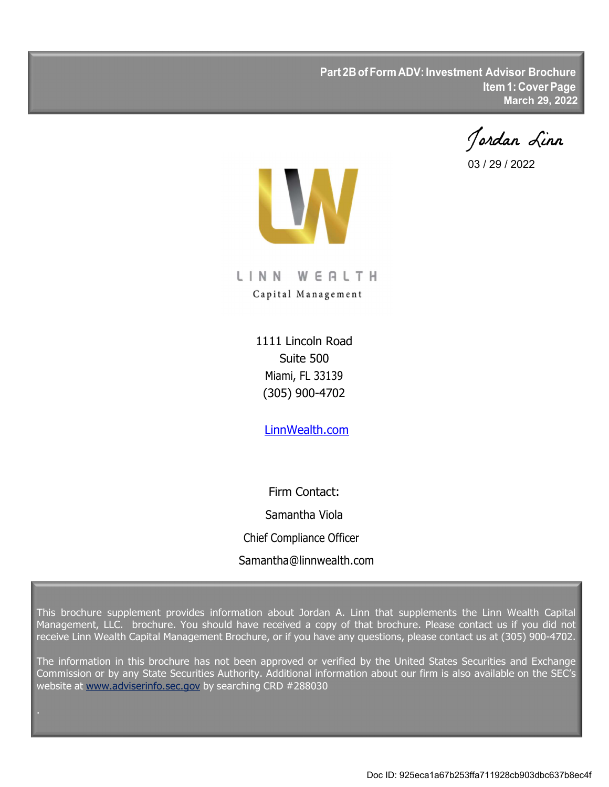**Part 2B of Form ADV: Investment Advisor Brochure Item 1: Cover Page March 29, 2022**

Jordan Linn

03 / 29 / 2022



LINN WERLTH Capital Management

> 1111 Lincoln Road Suite 500 Miami, FL 33139 (305) 900-4702

LinnWealth.com

Firm Contact: Samantha Viola Chief Compliance Officer Samantha@linnwealth.com

This brochure supplement provides information about Jordan A. Linn that supplements the Linn Wealth Capital Management, LLC. brochure. You should have received a copy of that brochure. Please contact us if you did not receive Linn Wealth Capital Management Brochure, or if you have any questions, please contact us at (305) 900-4702.

The information in this brochure has not been approved or verified by the United States Securities and Exchange Commission or by any State Securities Authority. Additional information about our firm is also available on the SEC's website at www.adviserinfo.sec.gov by searching CRD #288030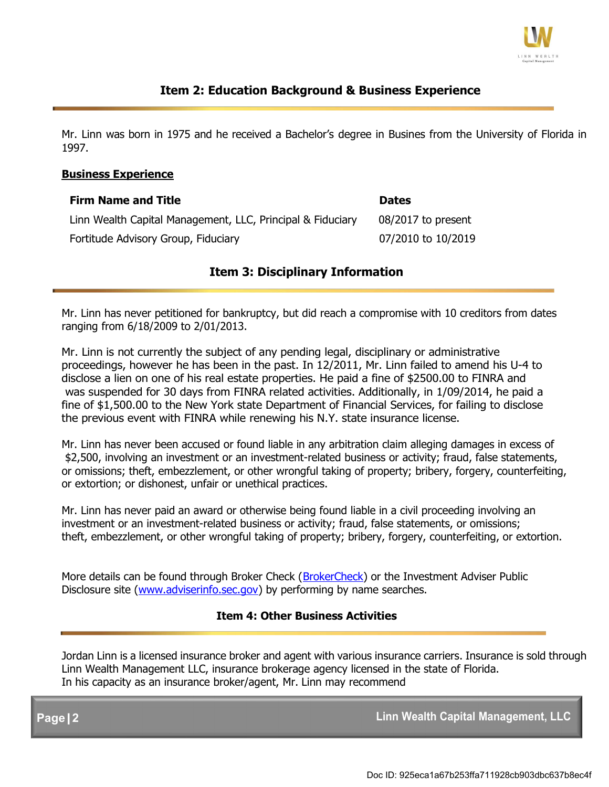

### **Item 2: Education Background & Business Experience**

Mr. Linn was born in 1975 and he received a Bachelor's degree in Busines from the University of Florida in 1997.

#### **Business Experience**

| <b>Firm Name and Title</b>                                 | <b>Dates</b>       |
|------------------------------------------------------------|--------------------|
| Linn Wealth Capital Management, LLC, Principal & Fiduciary | 08/2017 to present |
| Fortitude Advisory Group, Fiduciary                        | 07/2010 to 10/2019 |

#### **Item 3: Disciplinary Information**

Mr. Linn has never petitioned for bankruptcy, but did reach a compromise with 10 creditors from dates ranging from 6/18/2009 to 2/01/2013.

Mr. Linn is not currently the subject of any pending legal, disciplinary or administrative proceedings, however he has been in the past. In 12/2011, Mr. Linn failed to amend his U-4 to disclose a lien on one of his real estate properties. He paid a fine of \$2500.00 to FINRA and was suspended for 30 days from FINRA related activities. Additionally, in 1/09/2014, he paid a fine of \$1,500.00 to the New York state Department of Financial Services, for failing to disclose the previous event with FINRA while renewing his N.Y. state insurance license.

Mr. Linn has never been accused or found liable in any arbitration claim alleging damages in excess of \$2,500, involving an investment or an investment-related business or activity; fraud, false statements, or omissions; theft, embezzlement, or other wrongful taking of property; bribery, forgery, counterfeiting, or extortion; or dishonest, unfair or unethical practices.

Mr. Linn has never paid an award or otherwise being found liable in a civil proceeding involving an investment or an investment-related business or activity; fraud, false statements, or omissions; theft, embezzlement, or other wrongful taking of property; bribery, forgery, counterfeiting, or extortion.

More details can be found through Broker Check (BrokerCheck) or the Investment Adviser Public Disclosure site (www.adviserinfo.sec.gov) by performing by name searches.

#### **Item 4: Other Business Activities**

Jordan Linn is a licensed insurance broker and agent with various insurance carriers. Insurance is sold through Linn Wealth Management LLC, insurance brokerage agency licensed in the state of Florida. In his capacity as an insurance broker/agent, Mr. Linn may recommend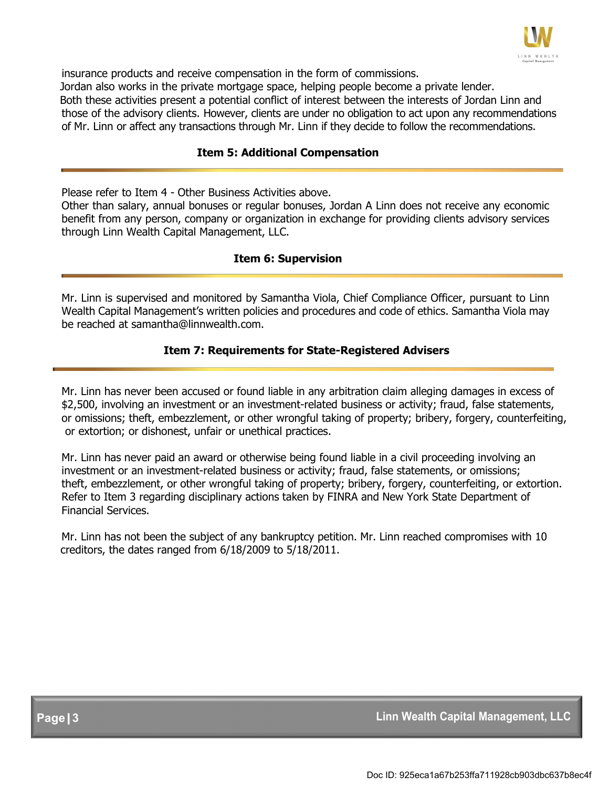

insurance products and receive compensation in the form of commissions. Jordan also works in the private mortgage space, helping people become a private lender. Both these activities present a potential conflict of interest between the interests of Jordan Linn and those of the advisory clients. However, clients are under no obligation to act upon any recommendations of Mr. Linn or affect any transactions through Mr. Linn if they decide to follow the recommendations.

#### **Item 5: Additional Compensation**

Please refer to Item 4 - Other Business Activities above.

Other than salary, annual bonuses or regular bonuses, Jordan A Linn does not receive any economic benefit from any person, company or organization in exchange for providing clients advisory services through Linn Wealth Capital Management, LLC.

#### **Item 6: Supervision**

Mr. Linn is supervised and monitored by Samantha Viola, Chief Compliance Officer, pursuant to Linn Wealth Capital Management's written policies and procedures and code of ethics. Samantha Viola may be reached at samantha@linnwealth.com.

#### **Item 7: Requirements for State-Registered Advisers**

Mr. Linn has never been accused or found liable in any arbitration claim alleging damages in excess of \$2,500, involving an investment or an investment-related business or activity; fraud, false statements, or omissions; theft, embezzlement, or other wrongful taking of property; bribery, forgery, counterfeiting, or extortion; or dishonest, unfair or unethical practices.

Mr. Linn has never paid an award or otherwise being found liable in a civil proceeding involving an investment or an investment-related business or activity; fraud, false statements, or omissions; theft, embezzlement, or other wrongful taking of property; bribery, forgery, counterfeiting, or extortion. Refer to Item 3 regarding disciplinary actions taken by FINRA and New York State Department of Financial Services.

Mr. Linn has not been the subject of any bankruptcy petition. Mr. Linn reached compromises with 10 creditors, the dates ranged from 6/18/2009 to 5/18/2011.

**Page|3 Linn Wealth Capital Management, LLC**